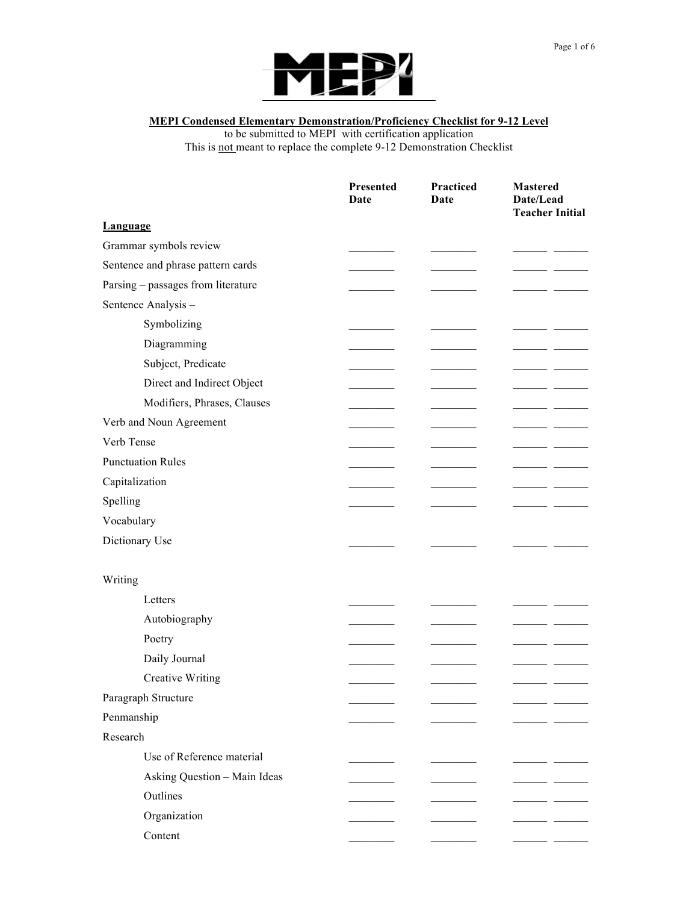

## **MEPI Condensed Elementary Demonstration/Proficiency Checklist for 9-12 Level**

to be submitted to MEPI with certification application This is not meant to replace the complete 9-12 Demonstration Checklist

|                                    | Presented<br>Date | Practiced<br>Date | <b>Mastered</b><br>Date/Lead<br><b>Teacher Initial</b> |
|------------------------------------|-------------------|-------------------|--------------------------------------------------------|
| <b>Language</b>                    |                   |                   |                                                        |
| Grammar symbols review             |                   |                   |                                                        |
| Sentence and phrase pattern cards  |                   |                   |                                                        |
| Parsing – passages from literature |                   |                   |                                                        |
| Sentence Analysis -                |                   |                   |                                                        |
| Symbolizing                        |                   |                   |                                                        |
| Diagramming                        |                   |                   |                                                        |
| Subject, Predicate                 |                   |                   |                                                        |
| Direct and Indirect Object         |                   |                   |                                                        |
| Modifiers, Phrases, Clauses        |                   |                   |                                                        |
| Verb and Noun Agreement            |                   |                   |                                                        |
| Verb Tense                         |                   |                   |                                                        |
| <b>Punctuation Rules</b>           |                   |                   |                                                        |
| Capitalization                     |                   |                   |                                                        |
| Spelling                           |                   |                   |                                                        |
| Vocabulary                         |                   |                   |                                                        |
| Dictionary Use                     |                   |                   |                                                        |
| Writing                            |                   |                   |                                                        |
| Letters                            |                   |                   |                                                        |
| Autobiography                      |                   |                   |                                                        |
| Poetry                             |                   |                   |                                                        |
| Daily Journal                      |                   |                   |                                                        |
| <b>Creative Writing</b>            |                   |                   |                                                        |
| Paragraph Structure                |                   |                   |                                                        |
| Penmanship                         |                   |                   |                                                        |
| Research                           |                   |                   |                                                        |
| Use of Reference material          |                   |                   |                                                        |
| Asking Question - Main Ideas       |                   |                   |                                                        |
| Outlines                           |                   |                   |                                                        |
| Organization                       |                   |                   |                                                        |
| Content                            |                   |                   |                                                        |
|                                    |                   |                   |                                                        |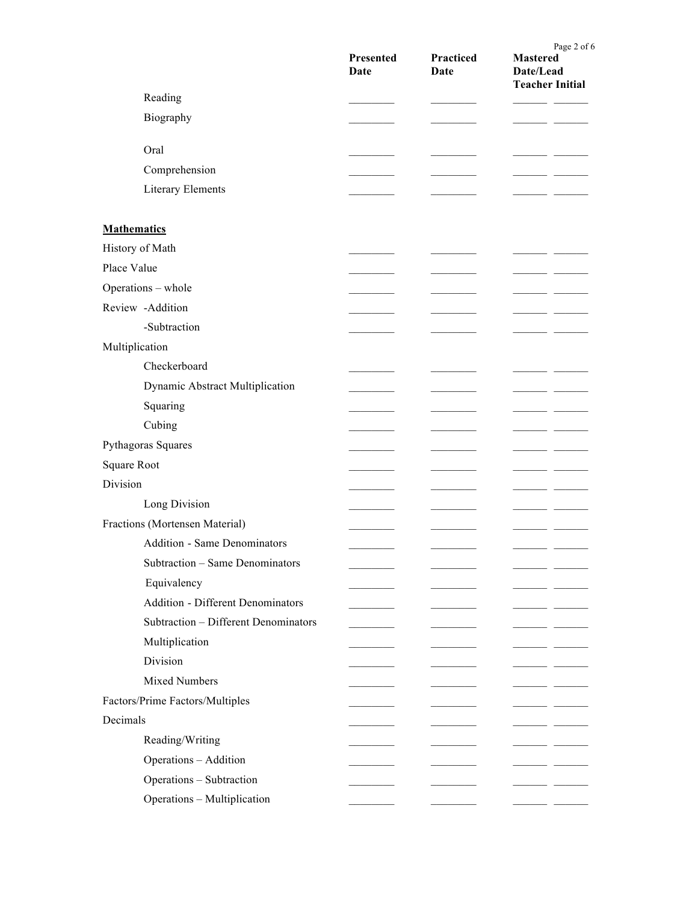|                                          | Presented<br>Date | Practiced<br>Date | Page 2 of 6<br><b>Mastered</b><br>Date/Lead<br><b>Teacher Initial</b> |
|------------------------------------------|-------------------|-------------------|-----------------------------------------------------------------------|
| Reading                                  |                   |                   |                                                                       |
| Biography                                |                   |                   |                                                                       |
| Oral                                     |                   |                   |                                                                       |
| Comprehension                            |                   |                   |                                                                       |
| <b>Literary Elements</b>                 |                   |                   |                                                                       |
| <b>Mathematics</b>                       |                   |                   |                                                                       |
| History of Math                          |                   |                   |                                                                       |
| Place Value                              |                   |                   |                                                                       |
| Operations - whole                       |                   |                   |                                                                       |
| Review -Addition                         |                   |                   |                                                                       |
| -Subtraction                             |                   |                   |                                                                       |
| Multiplication                           |                   |                   |                                                                       |
| Checkerboard                             |                   |                   |                                                                       |
| Dynamic Abstract Multiplication          |                   |                   |                                                                       |
| Squaring                                 |                   |                   |                                                                       |
| Cubing                                   |                   |                   |                                                                       |
| Pythagoras Squares                       |                   |                   |                                                                       |
| <b>Square Root</b>                       |                   |                   |                                                                       |
| Division                                 |                   |                   |                                                                       |
| Long Division                            |                   |                   |                                                                       |
| Fractions (Mortensen Material)           |                   |                   |                                                                       |
| <b>Addition - Same Denominators</b>      |                   |                   |                                                                       |
| Subtraction - Same Denominators          |                   |                   |                                                                       |
|                                          |                   |                   |                                                                       |
| Equivalency                              |                   |                   |                                                                       |
| <b>Addition - Different Denominators</b> |                   |                   |                                                                       |
| Subtraction - Different Denominators     |                   |                   |                                                                       |
| Multiplication                           |                   |                   |                                                                       |
| Division                                 |                   |                   |                                                                       |
| <b>Mixed Numbers</b>                     |                   |                   |                                                                       |
| Factors/Prime Factors/Multiples          |                   |                   |                                                                       |
| Decimals                                 |                   |                   |                                                                       |
| Reading/Writing                          |                   |                   |                                                                       |
| Operations - Addition                    |                   |                   |                                                                       |
| Operations - Subtraction                 |                   |                   |                                                                       |
| Operations - Multiplication              |                   |                   | - -                                                                   |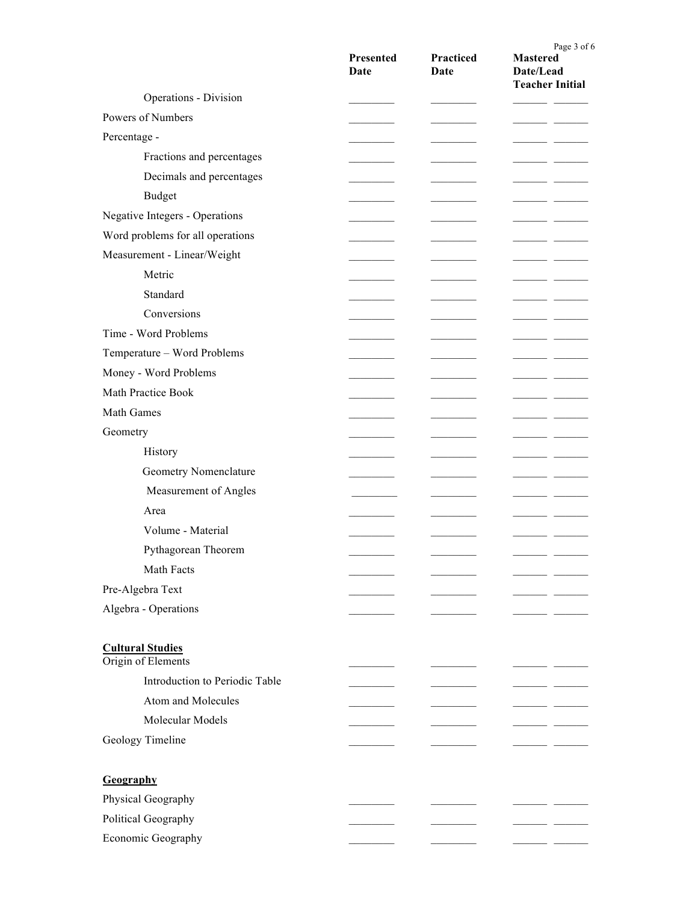|                                               | Presented<br>Date | Practiced<br>Date | Page 3 of 6<br><b>Mastered</b><br>Date/Lead<br><b>Teacher Initial</b> |
|-----------------------------------------------|-------------------|-------------------|-----------------------------------------------------------------------|
| Operations - Division                         |                   |                   |                                                                       |
| Powers of Numbers                             |                   |                   |                                                                       |
| Percentage -                                  |                   |                   | ___                                                                   |
| Fractions and percentages                     |                   |                   |                                                                       |
| Decimals and percentages                      |                   |                   |                                                                       |
| <b>Budget</b>                                 |                   |                   |                                                                       |
| Negative Integers - Operations                |                   |                   |                                                                       |
| Word problems for all operations              |                   |                   |                                                                       |
| Measurement - Linear/Weight                   |                   |                   | - -                                                                   |
| Metric                                        |                   |                   | - -                                                                   |
| Standard                                      |                   |                   | ___                                                                   |
| Conversions                                   |                   |                   |                                                                       |
| Time - Word Problems                          |                   |                   |                                                                       |
| Temperature - Word Problems                   |                   |                   |                                                                       |
| Money - Word Problems                         |                   |                   |                                                                       |
| Math Practice Book                            |                   |                   |                                                                       |
| Math Games                                    |                   |                   |                                                                       |
| Geometry                                      |                   |                   |                                                                       |
| History                                       |                   |                   |                                                                       |
| Geometry Nomenclature                         |                   |                   | ___                                                                   |
| Measurement of Angles                         |                   |                   |                                                                       |
| Area                                          |                   |                   |                                                                       |
| Volume - Material                             |                   |                   |                                                                       |
| Pythagorean Theorem                           |                   |                   |                                                                       |
| Math Facts                                    |                   |                   |                                                                       |
| Pre-Algebra Text                              |                   |                   |                                                                       |
| Algebra - Operations                          |                   |                   |                                                                       |
|                                               |                   |                   |                                                                       |
| <b>Cultural Studies</b><br>Origin of Elements |                   |                   |                                                                       |
| Introduction to Periodic Table                |                   |                   |                                                                       |
| Atom and Molecules                            |                   |                   |                                                                       |
| Molecular Models                              |                   |                   |                                                                       |
| Geology Timeline                              |                   |                   |                                                                       |
| Geography                                     |                   |                   |                                                                       |
| Physical Geography                            |                   |                   |                                                                       |
| Political Geography                           |                   |                   |                                                                       |
| Economic Geography                            |                   |                   |                                                                       |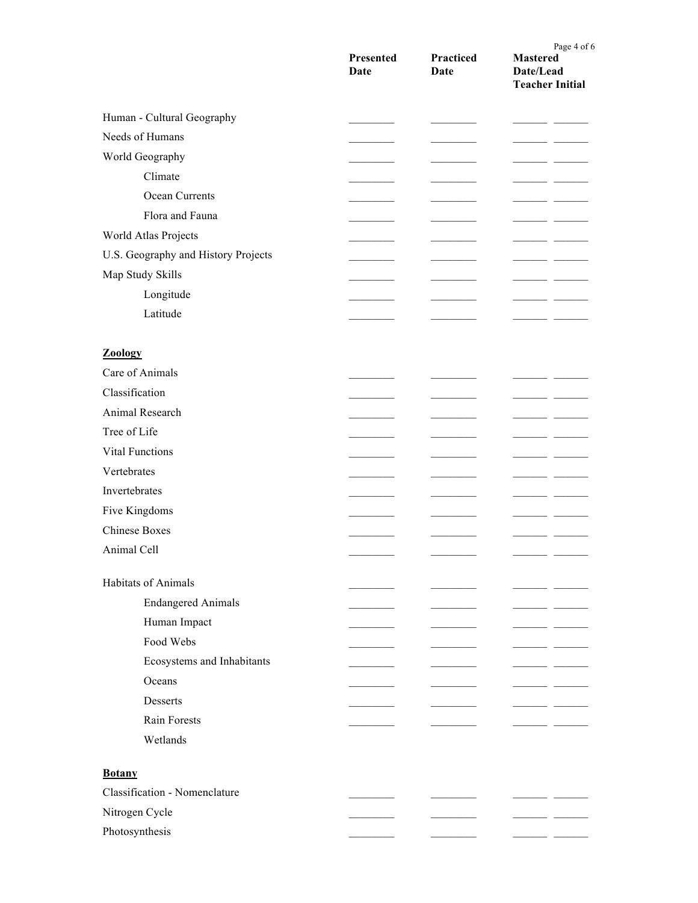|                                     | Presented<br>Date | Practiced<br>Date | Page 4 of 6<br><b>Mastered</b><br>Date/Lead<br><b>Teacher Initial</b> |
|-------------------------------------|-------------------|-------------------|-----------------------------------------------------------------------|
| Human - Cultural Geography          |                   |                   |                                                                       |
| Needs of Humans                     |                   |                   | $\overline{\phantom{a}}$                                              |
| World Geography                     |                   |                   |                                                                       |
| Climate                             |                   |                   |                                                                       |
| Ocean Currents                      |                   |                   |                                                                       |
| Flora and Fauna                     |                   |                   |                                                                       |
| World Atlas Projects                |                   |                   |                                                                       |
| U.S. Geography and History Projects |                   |                   |                                                                       |
| Map Study Skills                    |                   |                   | $\sim$                                                                |
| Longitude                           |                   |                   |                                                                       |
| Latitude                            |                   |                   |                                                                       |
|                                     |                   |                   |                                                                       |
| Zoology                             |                   |                   |                                                                       |
| Care of Animals                     |                   |                   |                                                                       |
| Classification                      |                   |                   |                                                                       |
| Animal Research                     |                   |                   |                                                                       |
| Tree of Life                        |                   |                   |                                                                       |
| <b>Vital Functions</b>              |                   |                   |                                                                       |
| Vertebrates                         |                   |                   |                                                                       |
| Invertebrates                       |                   |                   |                                                                       |
| Five Kingdoms                       |                   |                   |                                                                       |
| <b>Chinese Boxes</b>                |                   |                   |                                                                       |
| Animal Cell                         |                   |                   |                                                                       |
|                                     |                   |                   |                                                                       |
| Habitats of Animals                 |                   |                   |                                                                       |
| <b>Endangered Animals</b>           |                   |                   |                                                                       |
| Human Impact                        |                   |                   |                                                                       |
| Food Webs                           |                   |                   |                                                                       |
| Ecosystems and Inhabitants          |                   |                   | - -                                                                   |
| Oceans                              |                   |                   | $ -$                                                                  |
| Desserts                            |                   |                   |                                                                       |
| Rain Forests                        |                   |                   |                                                                       |
| Wetlands                            |                   |                   |                                                                       |
| <b>Botany</b>                       |                   |                   |                                                                       |
| Classification - Nomenclature       |                   |                   |                                                                       |
| Nitrogen Cycle                      |                   |                   | - -                                                                   |
| Photosynthesis                      |                   |                   |                                                                       |
|                                     |                   |                   |                                                                       |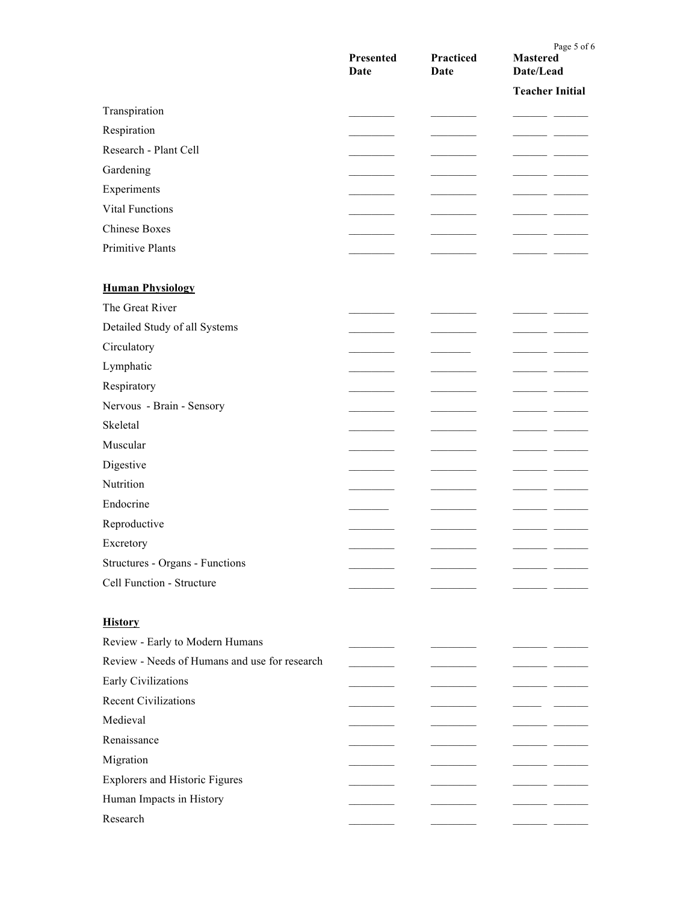|                                               | Presented<br>Date | Practiced<br>Date | Page 5 of 6<br><b>Mastered</b><br>Date/Lead |
|-----------------------------------------------|-------------------|-------------------|---------------------------------------------|
|                                               |                   |                   | <b>Teacher Initial</b>                      |
| Transpiration                                 |                   |                   |                                             |
| Respiration                                   |                   |                   |                                             |
| Research - Plant Cell                         |                   |                   |                                             |
| Gardening                                     |                   |                   |                                             |
| Experiments                                   |                   |                   |                                             |
| <b>Vital Functions</b>                        |                   |                   |                                             |
| <b>Chinese Boxes</b>                          |                   |                   |                                             |
| Primitive Plants                              |                   |                   |                                             |
|                                               |                   |                   |                                             |
| <b>Human Physiology</b>                       |                   |                   |                                             |
| The Great River                               |                   |                   | - -                                         |
| Detailed Study of all Systems                 |                   |                   |                                             |
| Circulatory                                   |                   |                   |                                             |
| Lymphatic                                     |                   |                   |                                             |
| Respiratory                                   |                   |                   |                                             |
| Nervous - Brain - Sensory                     |                   |                   |                                             |
| Skeletal                                      |                   |                   |                                             |
| Muscular                                      |                   |                   |                                             |
| Digestive                                     |                   |                   |                                             |
| Nutrition                                     |                   |                   |                                             |
| Endocrine                                     |                   |                   |                                             |
| Reproductive                                  |                   |                   |                                             |
| Excretory                                     |                   |                   |                                             |
| Structures - Organs - Functions               |                   |                   |                                             |
| Cell Function - Structure                     |                   |                   |                                             |
|                                               |                   |                   |                                             |
| <b>History</b>                                |                   |                   |                                             |
| Review - Early to Modern Humans               |                   |                   |                                             |
| Review - Needs of Humans and use for research |                   |                   |                                             |
| Early Civilizations                           |                   |                   |                                             |
| <b>Recent Civilizations</b>                   |                   |                   |                                             |
| Medieval                                      |                   |                   |                                             |
| Renaissance                                   |                   |                   |                                             |
| Migration                                     |                   |                   |                                             |
| <b>Explorers and Historic Figures</b>         |                   |                   |                                             |
| Human Impacts in History                      |                   |                   |                                             |
| Research                                      |                   |                   |                                             |